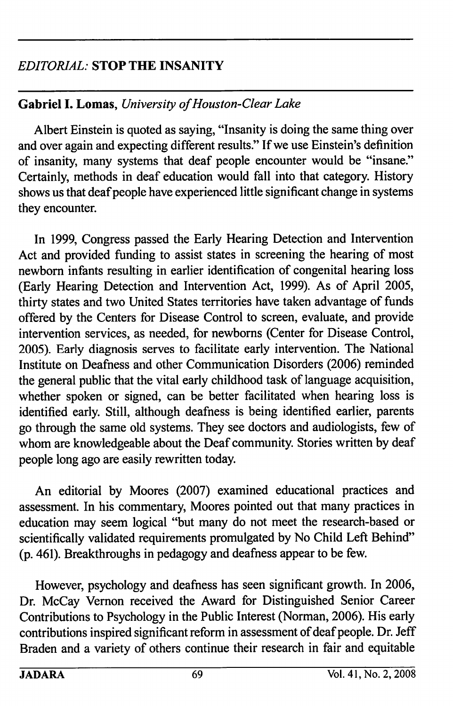## EDITORIAL: STOP THE INSANITY

## Gabriel I. Lomas, University of Houston-Clear Lake

Albert Einstein is quoted as saying, "Insanity is doing the same thing over and over again and expecting different results " If we use Einstein's definition of insanity, many systems that deaf people encounter would be "insane." Certainly, methods in deaf education would fall into that category. History shows us that deaf people have experienced little significant change in systems they encounter.

In 1999, Congress passed the Early Hearing Detection and Intervention Act and provided funding to assist states in screening the hearing of most newborn infants resulting in earlier identification of congenital hearing loss (Early Hearing Detection and Intervention Act, 1999). As of April 2005, thirty states and two United States territories have taken advantage of funds offered by the Centers for Disease Control to screen, evaluate, and provide intervention services, as needed, for newboms (Center for Disease Control, 2005). Early diagnosis serves to facilitate early intervention. The National Institute on Deafness and other Communication Disorders (2006) reminded the general public that the vital early childhood task of language acquisition, whether spoken or signed, can be better facilitated when hearing loss is identified early. Still, although deafness is being identified earlier, parents go through the same old systems. They see doctors and audiologists, few of whom are knowledgeable about the Deaf community. Stories written by deaf people long ago are easily rewritten today.

An editorial by Moores (2007) examined educational practices and assessment. In his commentary, Moores pointed out that many practices in education may seem logical "but many do not meet the research-based or scientifically validated requirements promulgated by No Child Left Behind" (p. 461). Breakthroughs in pedagogy and deafness appear to be few.

However, psychology and deafness has seen significant growth. In 2006, Dr. McCay Vemon received the Award for Distinguished Senior Career Contributions to Psychology in the Public Interest (Norman, 2006). His early contributions inspired significant reform in assessment of deaf people. Dr. Jeff Braden and a variety of others continue their research in fair and equitable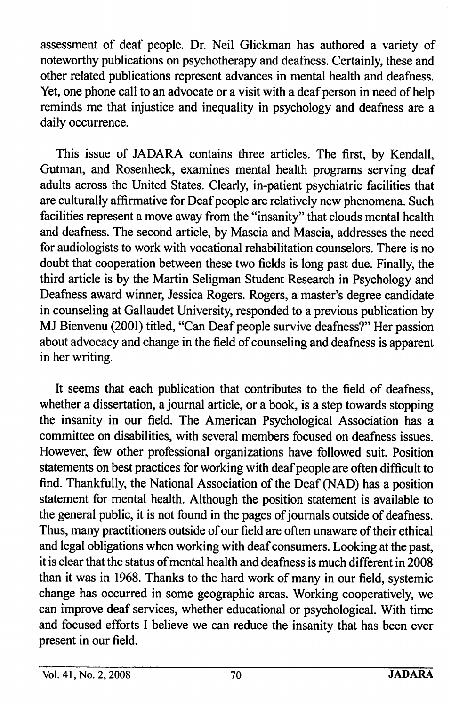assessment of deaf people. Dr. Neil Glickman has authored a variety of noteworthy publications on psychotherapy and deafness. Certainly, these and other related publications represent advances in mental health and deafness. Yet, one phone call to an advocate or a visit with a deaf person in need of help reminds me that injustice and inequality in psychology and deafness are a daily occurrence.

This issue of JADARA contains three articles. The first, by Kendall, Gutman, and Rosenheck, examines mental health programs serving deaf adults across the United States. Clearly, in-patient psychiatric facilities that are culturally affirmative for Deaf people are relatively new phenomena. Such facilities represent a move away from the "insanity" that clouds mental health and deafness. The second article, by Mascia and Mascia, addresses the need for audiologists to work with vocational rehabilitation counselors. There is no doubt that cooperation between these two fields is long past due. Finally, the third article is by the Martin Seligman Student Research in Psychology and Deafness award winner, Jessica Rogers. Rogers, a master's degree candidate in counseling at Gallaudet University, responded to a previous publication by MJ Bienvenu (2001) titled, "Can Deaf people survive deafness?" Her passion about advocacy and change in the field of counseling and deafness is apparent in her writing.

It seems that each publication that contributes to the field of deafness, whether a dissertation, a journal article, or a book, is a step towards stopping the insanity in our field. The American Psychological Association has a committee on disabilities, with several members focused on deafness issues. However, few other professional organizations have followed suit. Position statements on best practices for working with deaf people are often difficult to find. Thankfully, the National Association of the Deaf (NAD) has a position statement for mental health. Although the position statement is available to the general public, it is not found in the pages of journals outside of deafness. Thus, many practitioners outside of our field are often unaware of their ethical and legal obligations when working with deaf consumers. Looking at the past, it is clear that the status of mental health and deafness is much different in 2008 than it was in 1968. Thanks to the hard work of many in our field, systemic change has occurred in some geographic areas. Working cooperatively, we can improve deaf services, whether educational or psychological. With time and focused efforts I believe we can reduce the insanity that has been ever present in our field.